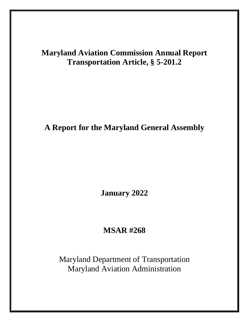# **Maryland Aviation Commission Annual Report Transportation Article, § 5-201.2**

**A Report for the Maryland General Assembly**

**January 2022**

## **MSAR #268**

Maryland Department of Transportation Maryland Aviation Administration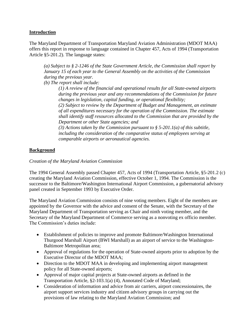## **Introduction**

The Maryland Department of Transportation Maryland Aviation Administration (MDOT MAA) offers this report in response to language contained in Chapter 457, Acts of 1994 (Transportation Article §5-201.2). The language states:

*(a) Subject to § 2-1246 of the State Government Article, the Commission shall report by January 15 of each year to the General Assembly on the activities of the Commission during the previous year.*

*(b) The report shall include:*

*(1) A review of the financial and operational results for all State-owned airports during the previous year and any recommendations of the Commission for future changes in legislation, capital funding, or operational flexibility; (2) Subject to review by the Department of Budget and Management, an estimate of all expenditures necessary for the operation of the Commission. The estimate shall identify staff resources allocated to the Commission that are provided by the Department or other State agencies; and (3) Actions taken by the Commission pursuant to § 5-201.1(a) of this subtitle, including the consideration of the comparative status of employees serving at* 

## **Background**

## *Creation of the Maryland Aviation Commission*

The 1994 General Assembly passed Chapter 457, Acts of 1994 (Transportation Article, §5-201.2 (c) creating the Maryland Aviation Commission, effective October 1, 1994. The Commission is the successor to the Baltimore/Washington International Airport Commission, a gubernatorial advisory panel created in September 1993 by Executive Order.

*comparable airports or aeronautical agencies.*

The Maryland Aviation Commission consists of nine voting members. Eight of the members are appointed by the Governor with the advice and consent of the Senate, with the Secretary of the Maryland Department of Transportation serving as Chair and ninth voting member, and the Secretary of the Maryland Department of Commerce serving as a nonvoting ex officio member. The Commission's duties include:

- Establishment of policies to improve and promote Baltimore/Washington International Thurgood Marshall Airport (BWI Marshall) as an airport of service to the Washington-Baltimore Metropolitan area;
- Approval of regulations for the operation of State-owned airports prior to adoption by the Executive Director of the MDOT MAA;
- Direction to the MDOT MAA in developing and implementing airport management policy for all State-owned airports;
- Approval of major capital projects at State-owned airports as defined in the Transportation Article, §2-103.1(a) (4), Annotated Code of Maryland;
- Consideration of information and advice from air carriers, airport concessionaires, the airport support services industry and citizen advisory groups in carrying out the provisions of law relating to the Maryland Aviation Commission; and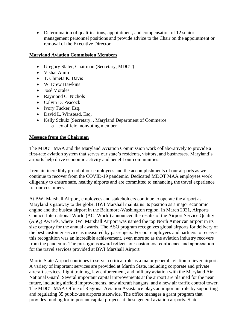• Determination of qualifications, appointment, and compensation of 12 senior management personnel positions and provide advice to the Chair on the appointment or removal of the Executive Director.

#### **Maryland Aviation Commission Members**

- Gregory Slater, Chairman (Secretary, MDOT)
- Vishal Amin
- T. Chineta K. Davis
- W. Drew Hawkins
- José Morales
- Raymond C. Nichols
- Calvin D. Peacock
- Ivory Tucker, Esq.
- David L. Winstead, Esq.
- Kelly Schulz (Secretary, , Maryland Department of Commerce o ex officio, nonvoting member

#### **Message from the Chairman**

The MDOT MAA and the Maryland Aviation Commission work collaboratively to provide a first-rate aviation system that serves our state's residents, visitors, and businesses. Maryland's airports help drive economic activity and benefit our communities.

I remain incredibly proud of our employees and the accomplishments of our airports as we continue to recover from the COVID-19 pandemic. Dedicated MDOT MAA employees work diligently to ensure safe, healthy airports and are committed to enhancing the travel experience for our customers.

At BWI Marshall Airport, employees and stakeholders continue to operate the airport as Maryland's gateway to the globe. BWI Marshall maintains its position as a major economic engine and the busiest airport in the Baltimore-Washington region. In March 2021, Airports Council International World (ACI World) announced the results of the Airport Service Quality (ASQ) Awards, where BWI Marshall Airport was named the top North American airport in its size category for the annual awards. The ASQ program recognizes global airports for delivery of the best customer service as measured by passengers. For our employees and partners to receive this recognition was an incredible achievement, even more so as the aviation industry recovers from the pandemic. The prestigious award reflects our customers' confidence and appreciation for the travel services provided at BWI Marshall Airport.

Martin State Airport continues to serve a critical role as a major general aviation reliever airport. A variety of important services are provided at Martin State, including corporate and private aircraft services, flight training, law enforcement, and military aviation with the Maryland Air National Guard. Several important capital improvements at the airport are planned for the near future, including airfield improvements, new aircraft hangars, and a new air traffic control tower. The MDOT MAA Office of Regional Aviation Assistance plays an important role by supporting and regulating 35 public-use airports statewide. The office manages a grant program that provides funding for important capital projects at these general aviation airports. State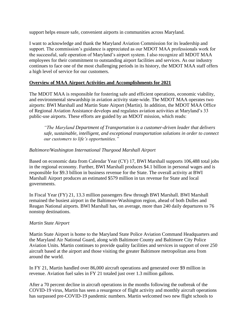support helps ensure safe, convenient airports in communities across Maryland.

I want to acknowledge and thank the Maryland Aviation Commission for its leadership and support. The commission's guidance is appreciated as our MDOT MAA professionals work for the successful, safe operation of Maryland's airport system. I also recognize all MDOT MAA employees for their commitment to outstanding airport facilities and services. As our industry continues to face one of the most challenging periods in its history, the MDOT MAA staff offers a high level of service for our customers.

## **Overview of MAA Airport Activities and Accomplishments for 2021**

The MDOT MAA is responsible for fostering safe and efficient operations, economic viability, and environmental stewardship in aviation activity state-wide. The MDOT MAA operates two airports: BWI Marshall and Martin State Airport (Martin). In addition, the MDOT MAA Office of Regional Aviation Assistance develops and regulates aviation activities at Maryland's 33 public-use airports. These efforts are guided by an MDOT mission, which reads:

*"The Maryland Department of Transportation is a customer-driven leader that delivers safe, sustainable, intelligent, and exceptional transportation solutions in order to connect our customers to life's opportunities."*

#### *Baltimore/Washington International Thurgood Marshall Airport*

Based on economic data from Calendar Year (CY) 17, BWI Marshall supports 106,488 total jobs in the regional economy. Further, BWI Marshall produces \$4.1 billion in personal wages and is responsible for \$9.3 billion in business revenue for the State. The overall activity at BWI Marshall Airport produces an estimated \$579 million in tax revenue for State and local governments.

In Fiscal Year (FY) 21, 13.3 million passengers flew through BWI Marshall. BWI Marshall remained the busiest airport in the Baltimore-Washington region, ahead of both Dulles and Reagan National airports. BWI Marshall has, on average, more than 240 daily departures to 76 nonstop destinations.

#### *Martin State Airport*

Martin State Airport is home to the Maryland State Police Aviation Command Headquarters and the Maryland Air National Guard, along with Baltimore County and Baltimore City Police Aviation Units. Martin continues to provide quality facilities and services in support of over 250 aircraft based at the airport and those visiting the greater Baltimore metropolitan area from around the world.

In FY 21, Martin handled over 86,000 aircraft operations and generated over \$9 million in revenue. Aviation fuel sales in FY 21 totaled just over 1.3 million gallons.

After a 70 percent decline in aircraft operations in the months following the outbreak of the COVID-19 virus, Martin has seen a resurgence of flight activity and monthly aircraft operations has surpassed pre-COVID-19 pandemic numbers. Martin welcomed two new flight schools to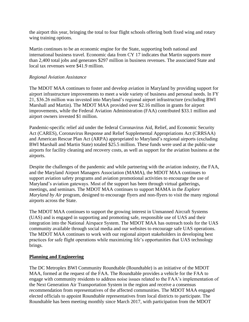the airport this year, bringing the total to four flight schools offering both fixed wing and rotary wing training options.

Martin continues to be an economic engine for the State, supporting both national and international business travel. Economic data from CY 17 indicates that Martin supports more than 2,400 total jobs and generates \$297 million in business revenues. The associated State and local tax revenues were \$41.9 million.

#### *Regional Aviation Assistance*

The MDOT MAA continues to foster and develop aviation in Maryland by providing support for airport infrastructure improvements to meet a wide variety of business and personal needs. In FY 21, \$36.26 million was invested into Maryland's regional airport infrastructure (excluding BWI Marshall and Martin). The MDOT MAA provided over \$2.16 million in grants for airport improvements, while the Federal Aviation Administration (FAA) contributed \$33.1 million and airport owners invested \$1 million.

Pandemic-specific relief aid under the federal Coronavirus Aid, Relief, and Economic Security Act (CARES), Coronavirus Response and Relief Supplemental Appropriations Act (CRRSAA) and American Rescue Plan Act (ARPA) appropriated to Maryland's regional airports (excluding BWI Marshall and Martin State) totaled \$25.5 million. These funds were used at the public-use airports for facility cleaning and recovery costs, as well as support for the aviation business at the airports.

Despite the challenges of the pandemic and while partnering with the aviation industry, the FAA, and the Maryland Airport Managers Association (MAMA), the MDOT MAA continues to support aviation safety programs and aviation promotional activities to encourage the use of Maryland's aviation gateways. Most of the support has been through virtual gatherings, meetings, and seminars. The MDOT MAA continues to support MAMA in the *Explore Maryland by Air* program, designed to encourage flyers and non-flyers to visit the many regional airports across the State.

The MDOT MAA continues to support the growing interest in Unmanned Aircraft Systems (UAS) and is engaged in supporting and promoting safe, responsible use of UAS and their integration into the National Airspace System. The MDOT MAA has outreach tools for the UAS community available through social media and our websites to encourage safe UAS operations. The MDOT MAA continues to work with our regional airport stakeholders in developing best practices for safe flight operations while maximizing life's opportunities that UAS technology brings.

## **Planning and Engineering**

The DC Metroplex BWI Community Roundtable (Roundtable) is an initiative of the MDOT MAA, formed at the request of the FAA. The Roundtable provides a vehicle for the FAA to engage with community residents to address noise issues related to the FAA's implementation of the Next Generation Air Transportation System in the region and receive a consensus recommendation from representatives of the affected communities. The MDOT MAA engaged elected officials to appoint Roundtable representatives from local districts to participate. The Roundtable has been meeting monthly since March 2017, with participation from the MDOT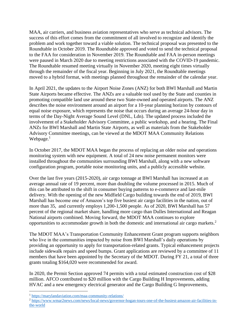MAA, air carriers, and business aviation representatives who serve as technical advisors. The success of this effort comes from the commitment of all involved to recognize and identify the problem and work together toward a viable solution. The technical proposal was presented to the Roundtable in October 2019. The Roundtable approved and voted to send the technical proposal to the FAA for consideration in November 2019. The Roundtable and FAA in-person meetings were paused in March 2020 due to meeting restrictions associated with the COVID-19 pandemic. The Roundtable resumed meeting virtually in November 2020, meeting eight times virtually through the remainder of the fiscal year. Beginning in July 2021, the Roundtable meetings moved to a hybrid format, with meetings planned throughout the remainder of the calendar year.

In April 2021, the updates to the Airport Noise Zones (ANZ) for both BWI Marshall and Martin State Airports became effective. The ANZs are a valuable tool used by the State and counties in promoting compatible land use around these two State-owned and operated airports. The ANZ describes the noise environment around an airport for a 10-year planning horizon by contours of equal noise exposure, which represents the noise that occurs during an average 24-hour day in terms of the Day-Night Average Sound Level (DNL, Ldn). The updated process included the involvement of a Stakeholder Advisory Committee, a public workshop, and a hearing. The Final ANZs for BWI Marshall and Martin State Airports, as well as materials from the Stakeholder Advisory Committee meetings, can be viewed at the MDOT MAA Community Relations Webpage. $<sup>1</sup>$ </sup>

In October 2017, the MDOT MAA began the process of replacing an older noise and operations monitoring system with new equipment. A total of 24 new noise permanent monitors were installed throughout the communities surrounding BWI Marshall, along with a new software configuration program, portable noise monitoring units, and a publicly accessible website.

Over the last five years (2015-2020), air cargo tonnage at BWI Marshall has increased at an average annual rate of 19 percent, more than doubling the volume processed in 2015. Much of this can be attributed to the shift in consumer buying patterns to e-commerce and last-mile delivery. With the opening of the new Midfield Cargo building towards the end of 2019, BWI Marshall has become one of Amazon's top five busiest air cargo facilities in the nation, out of more than 35, and currently employs 1,200-1,500 people. As of 2020, BWI Marshall has 57 percent of the regional market share, handling more cargo than Dulles International and Reagan National airports combined. Moving forward, the MDOT MAA continues to explore opportunities to accommodate growth in both the domestic and international air cargo markets. 2

The MDOT MAA's Transportation Community Enhancement Grant program supports neighbors who live in the communities impacted by noise from BWI Marshall's daily operations by providing an opportunity to apply for transportation-related grants. Typical enhancement projects include sidewalk repairs and speed bumps. Grant applications are reviewed by a committee of 11 members that have been appointed by the Secretary of the MDOT. During FY 21, a total of three grants totaling \$164,020 were recommended for award.

In 2020, the Permit Section approved 74 permits with a total estimated construction cost of \$28 million. AFCO contributed to \$20 million with the Cargo Building H Improvements, adding HVAC and a new emergency electrical generator and the Cargo Building G Improvements,

<sup>1</sup> <https://marylandaviation.com/maa-community-relations/>

<sup>&</sup>lt;sup>2</sup> [https://www.wmar2news.com/news/local-news/governor-hogan-tours-one-of-the-busiest-amazon-air-facilities-in](https://www.wmar2news.com/news/local-news/governor-hogan-tours-one-of-the-busiest-amazon-air-facilities-in-the-world)[the-world](https://www.wmar2news.com/news/local-news/governor-hogan-tours-one-of-the-busiest-amazon-air-facilities-in-the-world)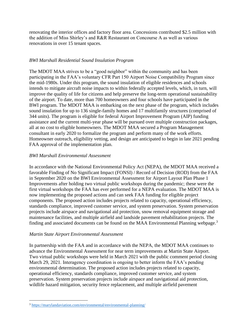renovating the interior offices and factory floor area. Concessions contributed \$2.5 million with the addition of Miss Shirley's and R&R Restaurant on Concourse A as well as various renovations in over 15 tenant spaces.

## *BWI Marshall Residential Sound Insulation Program*

The MDOT MAA strives to be a "good neighbor" within the community and has been participating in the FAA's voluntary CFR Part 150 Airport Noise Compatibility Program since the mid-1980s. Under this program, the sound insulation of eligible residences and schools intends to mitigate aircraft noise impacts to within federally accepted levels, which, in turn, will improve the quality of life for citizens and help preserve the long-term operational sustainability of the airport. To date, more than 700 homeowners and four schools have participated in the BWI program. The MDOT MAA is embarking on the next phase of the program, which includes sound insulation for up to 136 single-family homes and 17 multifamily structures (comprised of 344 units). The program is eligible for federal Airport Improvement Program (AIP) funding assistance and the current multi-year phase will be pursued over multiple construction packages, all at no cost to eligible homeowners. The MDOT MAA secured a Program Management consultant in early 2020 to formalize the program and perform many of the work efforts. Homeowner outreach, eligibility vetting, and design are anticipated to begin in late 2021 pending FAA approval of the implementation plan.

## *BWI Marshall Environmental Assessment*

In accordance with the National Environmental Policy Act (NEPA), the MDOT MAA received a favorable Finding of No Significant Impact (FONSI) / Record of Decision (ROD) from the FAA in September 2020 on the BWI Environmental Assessment for Airport Layout Plan Phase 1 Improvements after holding two virtual public workshops during the pandemic; these were the first virtual workshops the FAA has ever performed for a NEPA evaluation. The MDOT MAA is now implementing the proposed actions and can seek FAA funding for eligible project components. The proposed action includes projects related to capacity, operational efficiency, standards compliance, improved customer service, and system preservation. System preservation projects include airspace and navigational aid protection, snow removal equipment storage and maintenance facilities, and multiple airfield and landside pavement rehabilitation projects. The finding and associated documents can be found on the MAA Environmental Planning webpage.<sup>3</sup>

## *Martin State Airport Environmental Assessment*

In partnership with the FAA and in accordance with the NEPA, the MDOT MAA continues to advance the Environmental Assessment for near term improvements at Martin State Airport. Two virtual public workshops were held in March 2021 with the public comment period closing March 29, 2021. Interagency coordination is ongoing to better inform the FAA's pending environmental determination. The proposed action includes projects related to capacity, operational efficiency, standards compliance, improved customer service, and system preservation. System preservation projects include airspace and navigational aid protection, wildlife hazard mitigation, security fence replacement, and multiple airfield pavement

<sup>3</sup> <https://marylandaviation.com/environmental/environmental-planning/>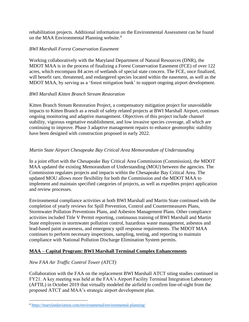rehabilitation projects. Additional information on the Environmental Assessment can be found on the MAA Environmental Planning website. 4

## *BWI Marshall Forest Conservation Easement*

Working collaboratively with the Maryland Department of Natural Resources (DNR), the MDOT MAA is in the process of finalizing a Forest Conservation Easement (FCE) of over 122 acres, which encompass 84 acres of wetlands of special state concern. The FCE, once finalized, will benefit rare, threatened, and endangered species located within the easement, as well as the MDOT MAA, by serving as a 'forest mitigation bank' to support ongoing airport development.

## *BWI Marshall Kitten Branch Stream Restoration*

Kitten Branch Stream Restoration Project, a compensatory mitigation project for unavoidable impacts to Kitten Branch as a result of safety related projects at BWI Marshall Airport, continues ongoing monitoring and adaptive management. Objectives of this project include channel stability, vigorous vegetative establishment, and low invasive species coverage, all which are continuing to improve. Phase 3 adaptive management repairs to enhance geomorphic stability have been designed with construction proposed in early 2022.

## *Martin State Airport Chesapeake Bay Critical Area Memorandum of Understanding*

In a joint effort with the Chesapeake Bay Critical Area Commission (Commission), the MDOT MAA updated the existing Memorandum of Understanding (MOU) between the agencies. The Commission regulates projects and impacts within the Chesapeake Bay Critical Area. The updated MOU allows more flexibility for both the Commission and the MDOT MAA to implement and maintain specified categories of projects, as well as expedites project application and review processes.

Environmental compliance activities at both BWI Marshall and Martin State continued with the completion of yearly reviews for Spill Prevention, Control and Countermeasures Plans, Stormwater Pollution Preventions Plans, and Asbestos Management Plans. Other compliance activities included Title V Permit reporting, continuous training of BWI Marshall and Martin State employees in stormwater pollution control, hazardous waste management, asbestos and lead-based paint awareness, and emergency spill response requirements. The MDOT MAA continues to perform necessary inspections, sampling, testing, and reporting to maintain compliance with National Pollution Discharge Elimination System permits.

## **MAA – Capital Program: BWI Marshall Terminal Complex Enhancements**

## *New FAA Air Traffic Control Tower (ATCT)*

Collaboration with the FAA on the replacement BWI Marshall ATCT siting studies continued in FY21. A key meeting was held at the FAA's Airport Facility Terminal Integration Laboratory (AFTIL) in October 2019 that virtually modeled the airfield to confirm line-of-sight from the proposed ATCT and MAA's strategic airport development plan.

<sup>4</sup> <https://marylandaviation.com/environmental/environmental-planning/>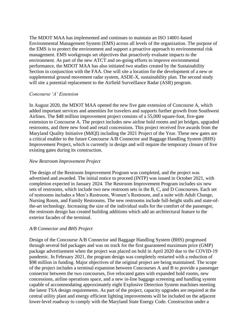The MDOT MAA has implemented and continues to maintain an ISO 14001-based Environmental Management System (EMS) across all levels of the organization. The purpose of the EMS is to protect the environment and support a proactive approach to environmental risk management. EMS workgroups set objectives that proactively evaluate impacts to the environment. As part of the new ATCT and on-going efforts to improve environmental performance, the MDOT MAA has also initiated two studies created by the Sustainability Section in conjunction with the FAA. One will site a location for the development of a new or supplemental ground movement radar system, ASDE-X, sustainability plan. The second study will site a potential replacement to the Airfield Surveillance Radar (ASR) program.

#### *Concourse 'A' Extension*

In August 2020, the MDOT MAA opened the new five gate extension of Concourse A, which added important services and amenities for travelers and supports further growth from Southwest Airlines. The \$48 million improvement project consists of a 55,000 square-foot, five-gate extension to Concourse A. The project includes new airline hold rooms and jet bridges, upgraded restrooms, and three new food and retail concessions. This project received five awards from the Maryland Quality Initiative (MdQI) including the 2021 Project of the Year. These new gates are a critical enabler to the future Concourse A/B Connector and Baggage Handling System (BHS) Improvement Project, which is currently in design and will require the temporary closure of five existing gates during its construction.

#### *New Restroom Improvement Project*

The design of the Restroom Improvement Program was completed, and the project was advertised and awarded. The initial notice to proceed (INTP) was issued in October 2021, with completion expected in January 2024. The Restroom Improvement Program includes six new sets of restrooms, which include two new restroom sets in the B, C, and D Concourses. Each set of restrooms includes a Men's Restroom, Women's Restroom, and a suite with Adult Change, Nursing Room, and Family Restrooms. The new restrooms include full-height stalls and state-ofthe-art technology. Increasing the size of the individual stalls for the comfort of the passenger, the restroom design has created building additions which add an architectural feature to the exterior facades of the terminal.

#### *A/B Connector and BHS Project*

Design of the Concourse A/B Connector and Baggage Handling System (BHS) progressed through several bid packages and was on track for the first guaranteed maximum price (GMP) package advertisement when the project was placed on hold in April 2020 due to the COVID-19 pandemic. In February 2021, the program design was completely restarted with a reduction of \$98 million in funding. Major objectives of the original project are being maintained. The scope of the project includes a terminal expansion between Concourses A and B to provide a passenger connector between the two concourses, five relocated gates with expanded hold rooms, new concessions, airline operations space, and a new in-line baggage screening and handling system capable of accommodating approximately eight Explosive Detection System machines meeting the latest TSA design requirements. As part of the project, capacity upgrades are required at the central utility plant and energy efficient lighting improvements will be included on the adjacent lower-level roadway to comply with the Maryland State Energy Code. Construction under a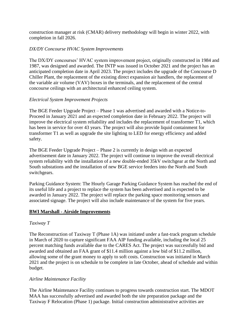construction manager at risk (CMAR) delivery methodology will begin in winter 2022, with completion in fall 2026.

#### *DX/DY Concourse HVAC System Improvements*

The DX/DY concourses' HVAC system improvement project, originally constructed in 1984 and 1987, was designed and awarded. The INTP was issued in October 2021 and the project has an anticipated completion date in April 2023. The project includes the upgrade of the Concourse D Chiller Plant, the replacement of the existing direct expansion air handlers, the replacement of the variable air volume (VAV) boxes in the terminals, and the replacement of the central concourse ceilings with an architectural enhanced ceiling system.

#### *Electrical System Improvement Projects*

The BGE Feeder Upgrade Project – Phase 1 was advertised and awarded with a Notice-to-Proceed in January 2021 and an expected completion date in February 2022. The project will improve the electrical system reliability and includes the replacement of transformer T1, which has been in service for over 43 years. The project will also provide liquid containment for transformer T1 as well as upgrade the site lighting to LED for energy efficiency and added safety.

The BGE Feeder Upgrade Project – Phase 2 is currently in design with an expected advertisement date in January 2022. The project will continue to improve the overall electrical system reliability with the installation of a new double-ended 35kV switchgear at the North and South substations and the installation of new BGE service feeders into the North and South switchgears.

Parking Guidance System: The Hourly Garage Parking Guidance System has reached the end of its useful life and a project to replace the system has been advertised and is expected to be awarded in January 2022. The project will replace the parking space monitoring sensors and associated signage. The project will also include maintenance of the system for five years.

#### **BWI Marshall - Airside Improvements**

#### *Taxiway T*

The Reconstruction of Taxiway T (Phase 1A) was initiated under a fast-track program schedule in March of 2020 to capture significant FAA AIP funding available, including the local 25 percent matching funds available due to the CARES Act. The project was successfully bid and awarded and obtained an FAA grant of \$11.4 million against a low bid of \$11.2 million, allowing some of the grant money to apply to soft costs. Construction was initiated in March 2021 and the project is on schedule to be complete in late October, ahead of schedule and within budget.

#### *Airline Maintenance Facility*

The Airline Maintenance Facility continues to progress towards construction start. The MDOT MAA has successfully advertised and awarded both the site preparation package and the Taxiway F Relocation (Phase 1) package. Initial construction administrative activities are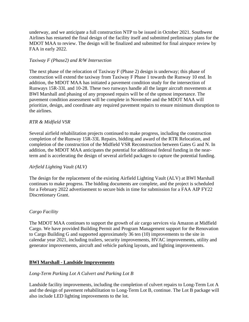underway, and we anticipate a full construction NTP to be issued in October 2021. Southwest Airlines has restarted the final design of the facility itself and submitted preliminary plans for the MDOT MAA to review. The design will be finalized and submitted for final airspace review by FAA in early 2022.

## *Taxiway F (Phase2) and R/W Intersection*

The next phase of the relocation of Taxiway F (Phase 2) design is underway; this phase of construction will extend the taxiway from Taxiway F Phase 1 towards the Runway 10 end. In addition, the MDOT MAA has initiated a pavement condition study for the intersection of Runways 15R-33L and 10-28. These two runways handle all the larger aircraft movements at BWI Marshall and phasing of any proposed repairs will be of the upmost importance. The pavement condition assessment will be complete in November and the MDOT MAA will prioritize, design, and coordinate any required pavement repairs to ensure minimum disruption to the airlines.

## *RTR & Midfield VSR*

Several airfield rehabilitation projects continued to make progress, including the construction completion of the Runway 15R-33L Repairs, bidding and award of the RTR Relocation, and completion of the construction of the Midfield VSR Reconstruction between Gates G and N. In addition, the MDOT MAA anticipates the potential for additional federal funding in the nearterm and is accelerating the design of several airfield packages to capture the potential funding.

## *Airfield Lighting Vault (ALV)*

The design for the replacement of the existing Airfield Lighting Vault (ALV) at BWI Marshall continues to make progress. The bidding documents are complete, and the project is scheduled for a February 2022 advertisement to secure bids in time for submission for a FAA AIP FY22 Discretionary Grant.

## *Cargo Facility*

The MDOT MAA continues to support the growth of air cargo services via Amazon at Midfield Cargo. We have provided Building Permit and Program Management support for the Renovation to Cargo Building G and supported approximately 36 ten (10) improvements to the site in calendar year 2021, including trailers, security improvements, HVAC improvements, utility and generator improvements, aircraft and vehicle parking layouts, and lighting improvements.

## **BWI Marshall - Landside Improvements**

## *Long-Term Parking Lot A Culvert and Parking Lot B*

Landside facility improvements, including the completion of culvert repairs to Long-Term Lot A and the design of pavement rehabilitation to Long-Term Lot B, continue. The Lot B package will also include LED lighting improvements to the lot.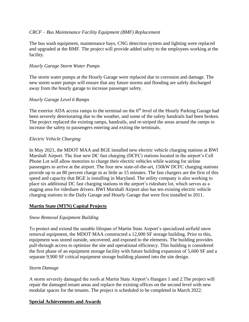## *CRCF – Bus Maintenance Facility Equipment (BMF) Replacement*

The bus wash equipment, maintenance bays, CNG detection system and lighting were replaced and upgraded at the BMF. The project will provide added safety to the employees working at the facility.

#### *Hourly Garage Storm Water Pumps*

The storm water pumps at the Hourly Garage were replaced due to corrosion and damage. The new storm water pumps will ensure that any future storms and flooding are safely discharged away from the hourly garage to increase passenger safety.

## *Hourly Garage Level 6 Ramps*

The exterior ADA access ramps to the terminal on the  $6<sup>th</sup>$  level of the Hourly Parking Garage had been severely deteriorating due to the weather, and some of the safety handrails had been broken. The project replaced the existing ramps, handrails, and re-striped the areas around the ramps to increase the safety to passengers entering and exiting the terminals.

#### *Electric Vehicle Charging*

In May 2021, the MDOT MAA and BGE installed new electric vehicle charging stations at BWI Marshall Airport. The four new DC fast charging (DCFC) stations located in the airport's Cell Phone Lot will allow motorists to charge their electric vehicles while waiting for airline passengers to arrive at the airport. The four new state-of-the-art, 150kW DCFC charging stations provide up to an 80 percent charge in as little as 15 minutes. The fast chargers are the first of this speed and capacity that BGE is installing in Maryland. The utility company is also working to place six additional DC fast charging stations in the airport's rideshare lot, which serves as a staging area for rideshare drivers. BWI Marshall Airport also has ten existing electric vehicle charging stations in the Daily Garage and Hourly Garage that were first installed in 2011.

## **Martin State (MTN) Capital Projects**

## *Snow Removal Equipment Building*

To protect and extend the useable lifespan of Martin State Airport's specialized airfield snow removal equipment, the MDOT MAA constructed a 12,000 SF storage building. Prior to this, equipment was stored outside, uncovered, and exposed to the elements. The building provides pull-through access to optimize the site and operational efficiency. This building is considered the first phase of an equipment storage facility with future building expansion of 5,600 SF and a separate 9,900 SF critical equipment storage building planned into the site design.

#### *Storm Damage*

A storm severely damaged the roofs at Martin State Airport's Hangars 1 and 2.The project will repair the damaged tenant areas and replace the existing offices on the second level with new modular spaces for the tenants. The project is scheduled to be completed in March 2022.

#### **Special Achievements and Awards**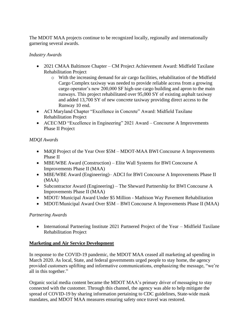The MDOT MAA projects continue to be recognized locally, regionally and internationally garnering several awards.

## *Industry Awards*

- 2021 CMAA Baltimore Chapter CM Project Achievement Award: Midfield Taxilane Rehabilitation Project
	- o With the increasing demand for air cargo facilities, rehabilitation of the Midfield Cargo Complex taxiway was needed to provide reliable access from a growing cargo operator's new 200,000 SF high-use cargo building and apron to the main runways. This project rehabilitated over 95,000 SY of existing asphalt taxiway and added 13,700 SY of new concrete taxiway providing direct access to the Runway 10 end.
- ACI Maryland Chapter "Excellence in Concrete" Award: Midfield Taxilane Rehabilitation Project
- ACEC/MD "Excellence in Engineering" 2021 Award Concourse A Improvements Phase II Project

## *MDQI Awards*

- MdQI Project of the Year Over \$5M MDOT-MAA BWI Concourse A Improvements Phase II
- MBE/WBE Award (Construction) Elite Wall Systems for BWI Concourse A Improvements Phase II (MAA)
- MBE/WBE Award (Engineering)– ADCI for BWI Concourse A Improvements Phase II (MAA)
- Subcontractor Award (Engineering) The Sheward Partnership for BWI Concourse A Improvements Phase II (MAA)
- MDOT/ Municipal Award Under \$5 Million Mathison Way Pavement Rehabilitation
- MDOT/Municipal Award Over \$5M BWI Concourse A Improvements Phase II (MAA)

## *Partnering Awards*

• International Partnering Institute 2021 Partnered Project of the Year – Midfield Taxilane Rehabilitation Project

## **Marketing and Air Service Development**

In response to the COVID-19 pandemic, the MDOT MAA ceased all marketing ad spending in March 2020. As local, State, and federal governments urged people to stay home, the agency provided customers uplifting and informative communications, emphasizing the message, "we're all in this together."

Organic social media content became the MDOT MAA's primary driver of messaging to stay connected with the customer. Through this channel, the agency was able to help mitigate the spread of COVID-19 by sharing information pertaining to CDC guidelines, State-wide mask mandates, and MDOT MAA measures ensuring safety once travel was restored.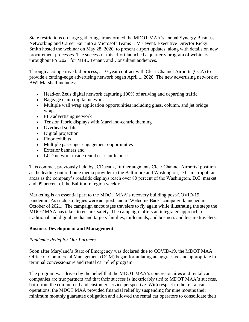State restrictions on large gatherings transformed the MDOT MAA's annual Synergy Business Networking and Career Fair into a Microsoft Teams LIVE event. Executive Director Ricky Smith hosted the webinar on May 28, 2020, to present airport updates, along with details on new procurement processes. The success of this effort launched a quarterly program of webinars throughout FY 2021 for MBE, Tenant, and Consultant audiences.

Through a competitive bid process, a 10-year contract with Clear Channel Airports (CCA) to provide a cutting-edge advertising network began April 1, 2020. The new advertising network at BWI Marshall includes:

- Head-on Zeus digital network capturing 100% of arriving and departing traffic
- Baggage claim digital network
- Multiple wall wrap application opportunities including glass, column, and jet bridge wraps
- FID advertising network
- Tension fabric displays with Maryland-centric theming
- Overhead soffits
- Digital projection
- Floor exhibits
- Multiple passenger engagement opportunities
- Exterior banners and
- LCD network inside rental car shuttle buses

This contract, previously held by JCDecaux, further augments Clear Channel Airports' position as the leading out of home media provider in the Baltimore and Washington, D.C. metropolitan areas as the company's roadside displays reach over 80 percent of the Washington, D.C. market and 99 percent of the Baltimore region weekly.

Marketing is an essential part to the MDOT MAA's recovery building post-COVID-19 pandemic. As such, strategies were adapted, and a 'Welcome Back' campaign launched in October of 2021. The campaign encourages travelers to fly again while illustrating the steps the MDOT MAA has taken to ensure safety. The campaign offers an integrated approach of traditional and digital media and targets families, millennials, and business and leisure travelers.

## **Business Development and Management**

## *Pandemic Relief for Our Partners*

Soon after Maryland's State of Emergency was declared due to COVID-19, the MDOT MAA Office of Commercial Management (OCM) began formulating an aggressive and appropriate interminal concessionaire and rental car relief program.

The program was driven by the belief that the MDOT MAA's concessionaires and rental car companies are true partners and that their success is inextricably tied to MDOT MAA's success, both from the commercial and customer service perspective. With respect to the rental car operations, the MDOT MAA provided financial relief by suspending for nine months their minimum monthly guarantee obligation and allowed the rental car operators to consolidate their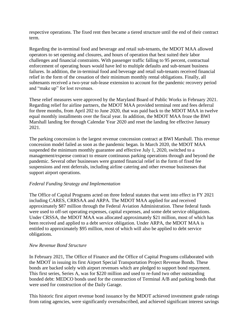respective operations. The fixed rent then became a tiered structure until the end of their contract term.

Regarding the in-terminal food and beverage and retail sub-tenants, the MDOT MAA allowed operators to set opening and closures, and hours of operation that best suited their labor challenges and financial constraints. With passenger traffic falling to 95 percent, contractual enforcement of operating hours would have led to multiple defaults and sub-tenant business failures. In addition, the in-terminal food and beverage and retail sub-tenants received financial relief in the form of the cessation of their minimum monthly rental obligations. Finally, all subtenants received a two-year sub-lease extension to account for the pandemic recovery period and "make up" for lost revenues.

These relief measures were approved by the Maryland Board of Public Works in February 2021. Regarding relief for airline partners, the MDOT MAA provided terminal rent and fees deferral for three months, from April 202 to June 2020, that was paid back to the MDOT MAA in twelve equal monthly installments over the fiscal year. In addition, the MDOT MAA froze the BWI Marshall landing fee through Calendar Year 2020 and reset the landing fee effective January 2021.

The parking concession is the largest revenue concession contract at BWI Marshall. This revenue concession model failed as soon as the pandemic began. In March 2020, the MDOT MAA suspended the minimum monthly guarantee and effective July 1, 2020, switched to a management/expense contract to ensure continuous parking operations through and beyond the pandemic. Several other businesses were granted financial relief in the form of fixed fee suspensions and rent deferrals, including airline catering and other revenue businesses that support airport operations.

#### *Federal Funding Strategy and Implementation*

The Office of Capital Programs acted on three federal statutes that went into effect in FY 2021 including CARES, CRRSAA and ARPA. The MDOT MAA applied for and received approximately \$87 million through the Federal Aviation Administration. These federal funds were used to off-set operating expenses, capital expenses, and some debt service obligations. Under CRSSA, the MDOT MAA was allocated approximately \$21 million, most of which has been received and applied to a debt service obligation. Under ARPA, the MDOT MAA is entitled to approximately \$95 million, most of which will also be applied to debt service obligations.

#### *New Revenue Bond Structure*

In February 2021, The Office of Finance and the Office of Capital Programs collaborated with the MDOT in issuing its first Airport Special Transportation Project Revenue Bonds. These bonds are backed solely with airport revenues which are pledged to support bond repayment. This first series, Series A, was for \$220 million and used to re-fund two other outstanding bonded debt: MEDCO bonds used for the construction of Terminal A/B and parking bonds that were used for construction of the Daily Garage.

This historic first airport revenue bond issuance by the MDOT achieved investment grade ratings from rating agencies, were significantly oversubscribed, and achieved significant interest savings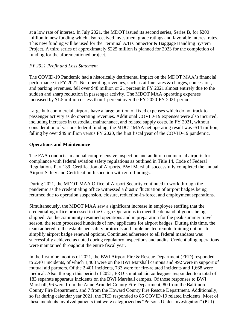at a low rate of interest. In July 2021, the MDOT issued its second series, Series B, for \$200 million in new funding which also received investment grade ratings and favorable interest rates. This new funding will be used for the Terminal A/B Connector & Baggage Handling System Project. A third series of approximately \$225 million is planned for 2023 for the completion of funding for the aforementioned project.

#### *FY 2021 Profit and Loss Statement*

The COVID-19 Pandemic had a historically detrimental impact on the MDOT MAA's financial performance in FY 2021. Net operating revenues, such as airline rates & charges, concession, and parking revenues, fell over \$48 million or 21 percent in FY 2021 almost entirely due to the sudden and sharp reduction in passenger activity. The MDOT MAA operating expenses increased by \$1.5 million or less than 1 percent over the FY 2020-FY 2021 period.

Large hub commercial airports have a large portion of fixed expenses which do not track to passenger activity as do operating revenues. Additional COVID-19 expenses were also incurred, including increases in custodial, maintenance, and related supply costs. In FY 2021, without consideration of various federal funding, the MDOT MAA net operating result was -\$14 million, falling by over \$49 million versus FY 2020, the first fiscal year of the COVID-19 pandemic.

#### **Operations and Maintenance**

The FAA conducts an annual comprehensive inspection and audit of commercial airports for compliance with federal aviation safety regulations as outlined in Title 14, Code of Federal Regulations Part 139, Certification of Airports. BWI Marshall successfully completed the annual Airport Safety and Certification Inspection with zero findings.

During 2021, the MDOT MAA Office of Airport Security continued to work through the pandemic as the credentialing office witnessed a drastic fluctuation of airport badges being returned due to operation suspension, closure, reduction-in-force, and employment separations.

Simultaneously, the MDOT MAA saw a significant increase in employee staffing that the credentialing office processed in the Cargo Operations to meet the demand of goods being shipped. As the community resumed operations and in preparation for the peak summer travel season, the team processed hundreds of new applicants for airport badges. During this time, the team adhered to the established safety protocols and implemented remote training options to simplify airport badge renewal options. Continued adherence to all federal mandates was successfully achieved as noted during regulatory inspections and audits. Credentialing operations were maintained throughout the entire fiscal year.

In the first nine months of 2021, the BWI Airport Fire & Rescue Department (FRD) responded to 2,401 incidents, of which 1,408 were on the BWI Marshall campus and 992 were in support of mutual aid partners. Of the 2,401 incidents, 733 were for fire-related incidents and 1,668 were medical. Also, through this period of 2021, FRD's mutual aid colleagues responded to a total of 183 separate apparatus incidents on the BWI Marshall campus. Of those responses to BWI Marshall, 96 were from the Anne Arundel County Fire Department, 80 from the Baltimore County Fire Department, and 7 from the Howard County Fire Rescue Department. Additionally, so far during calendar year 2021, the FRD responded to 85 COVID-19 related incidents. Most of these incidents involved patients that were categorized as "Persons Under Investigation" (PUI)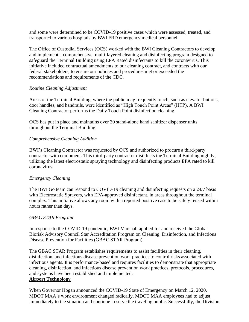and some were determined to be COVID-19 positive cases which were assessed, treated, and transported to various hospitals by BWI FRD emergency medical personnel.

The Office of Custodial Services (OCS) worked with the BWI Cleaning Contractors to develop and implement a comprehensive, multi-layered cleaning and disinfecting program designed to safeguard the Terminal Building using EPA Rated disinfectants to kill the coronavirus. This initiative included contractual amendments to our cleaning contract, and contracts with our federal stakeholders, to ensure our policies and procedures met or exceeded the recommendations and requirements of the CDC.

#### *Routine Cleaning Adjustment*

Areas of the Terminal Building, where the public may frequently touch, such as elevator buttons, door handles, and handrails, were identified as "High Touch Point Areas" (HTP). A BWI Cleaning Contractor performs the Daily Touch Point disinfection cleaning.

OCS has put in place and maintains over 30 stand-alone hand sanitizer dispenser units throughout the Terminal Building.

#### *Comprehensive Cleaning Addition*

BWI's Cleaning Contractor was requested by OCS and authorized to procure a third-party contractor with equipment. This third-party contractor disinfects the Terminal Building nightly, utilizing the latest electrostatic spraying technology and disinfecting products EPA rated to kill coronavirus.

#### *Emergency Cleaning*

The BWI Go team can respond to COVID-19 cleaning and disinfecting requests on a 24/7 basis with Electrostatic Sprayers, with EPA-approved disinfectant, in areas throughout the terminal complex. This initiative allows any room with a reported positive case to be safely reused within hours rather than days.

#### *GBAC STAR Program*

In response to the COVID-19 pandemic, BWI Marshall applied for and received the Global Biorisk Advisory Council Star Accreditation Program on Cleaning, Disinfection, and Infectious Disease Prevention for Facilities (GBAC STAR Program).

The GBAC STAR Program establishes requirements to assist facilities in their cleaning, disinfection, and infectious disease prevention work practices to control risks associated with infectious agents. It is performance-based and requires facilities to demonstrate that appropriate cleaning, disinfection, and infectious disease prevention work practices, protocols, procedures, and systems have been established and implemented.

## **Airport Technology**

When Governor Hogan announced the COVID-19 State of Emergency on March 12, 2020, MDOT MAA's work environment changed radically. MDOT MAA employees had to adjust immediately to the situation and continue to serve the traveling public. Successfully, the Division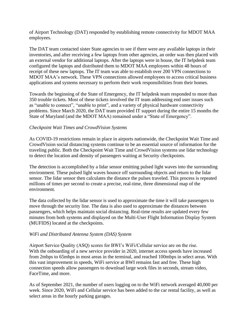of Airport Technology (DAT) responded by establishing remote connectivity for MDOT MAA employees.

The DAT team contacted sister State agencies to see if there were any available laptops in their inventories, and after receiving a few laptops from other agencies, an order was then placed with an external vendor for additional laptops. After the laptops were in house, the IT helpdesk team configured the laptops and distributed them to MDOT MAA employees within 48 hours of receipt of these new laptops. The IT team was able to establish over 200 VPN connections to MDOT MAA's network. These VPN connections allowed employees to access critical business applications and systems necessary to perform their work responsibilities from their homes.

Towards the beginning of the State of Emergency, the IT helpdesk team responded to more than 350 trouble tickets. Most of these tickets involved the IT team addressing end user issues such as "unable to connect", "unable to print", and a variety of physical hardware connectivity problems. Since March 2020, the DAT team provided IT support during the entire 15 months the State of Maryland (and the MDOT MAA) remained under a "State of Emergency".

#### *Checkpoint Wait Times and CrowdVision Systems*

As COVID-19 restrictions remain in place in airports nationwide, the Checkpoint Wait Time and CrowdVision social distancing systems continue to be an essential source of information for the traveling public. Both the Checkpoint Wait Time and CrowdVision systems use lidar technology to detect the location and density of passengers waiting at Security checkpoints.

The detection is accomplished by a lidar sensor emitting pulsed light waves into the surrounding environment. These pulsed light waves bounce off surrounding objects and return to the lidar sensor. The lidar sensor then calculates the distance the pulses traveled. This process is repeated millions of times per second to create a precise, real-time, three dimensional map of the environment.

The data collected by the lidar sensor is used to approximate the time it will take passengers to move through the security line. The data is also used to approximate the distances between passengers, which helps maintain social distancing. Real-time results are updated every few minutes from both systems and displayed on the Multi-User Flight Information Display System (MUFIDS) located at the checkpoints.

#### *WiFi and Distributed Antenna System (DAS) System*

Airport Service Quality (ASQ) scores for BWI's WiFi/Cellular service are on the rise. With the onboarding of a new service provider in 2020, internet access speeds have increased from 2mbps to 65mbps in most areas in the terminal, and reached 100mbps in select areas. With this vast improvement in speeds, WiFi service at BWI remains fast and free. These high connection speeds allow passengers to download large work files in seconds, stream video, FaceTime, and more.

As of September 2021, the number of users logging on to the WiFi network averaged 40,000 per week. Since 2020, WiFi and Cellular service has been added to the car rental facility, as well as select areas in the hourly parking garages.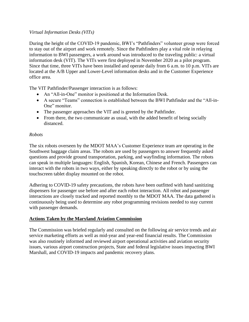## *Virtual Information Desks (VITs)*

During the height of the COVID-19 pandemic, BWI's "Pathfinders" volunteer group were forced to stay out of the airport and work remotely. Since the Pathfinders play a vital role in relaying information to BWI passengers, a work around was introduced to the traveling public: a virtual information desk (VIT). The VITs were first deployed in November 2020 as a pilot program. Since that time, three VITs have been installed and operate daily from 6 a.m. to 10 p.m. VITs are located at the A/B Upper and Lower-Level information desks and in the Customer Experience office area.

The VIT Pathfinder/Passenger interaction is as follows:

- An "All-in-One" monitor is positioned at the Information Desk.
- A secure "Teams" connection is established between the BWI Pathfinder and the "All-in-One" monitor.
- The passenger approaches the VIT and is greeted by the Pathfinder.
- From there, the two communicate as usual, with the added benefit of being socially distanced.

## *Robots*

The six robots overseen by the MDOT MAA's Customer Experience team are operating in the Southwest baggage claim areas. The robots are used by passengers to answer frequently asked questions and provide ground transportation, parking, and wayfinding information. The robots can speak in multiple languages: English, Spanish, Korean, Chinese and French. Passengers can interact with the robots in two ways, either by speaking directly to the robot or by using the touchscreen tablet display mounted on the robot.

Adhering to COVID-19 safety precautions, the robots have been outfitted with hand sanitizing dispensers for passenger use before and after each robot interaction. All robot and passenger interactions are closely tracked and reported monthly to the MDOT MAA. The data gathered is continuously being used to determine any robot programming revisions needed to stay current with passenger demands.

## **Actions Taken by the Maryland Aviation Commission**

The Commission was briefed regularly and consulted on the following air service trends and air service marketing efforts as well as mid-year and year-end financial results. The Commission was also routinely informed and reviewed airport operational activities and aviation security issues, various airport construction projects, State and federal legislative issues impacting BWI Marshall, and COVID-19 impacts and pandemic recovery plans.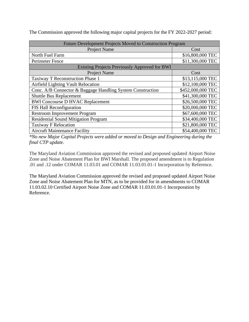| <b>Future Development Projects Moved to Construction Program</b> |                   |  |  |
|------------------------------------------------------------------|-------------------|--|--|
| <b>Project Name</b>                                              | Cost              |  |  |
| North Fuel Farm                                                  | \$16,800,000 TEC  |  |  |
| Perimeter Fence                                                  | \$11,300,000 TEC  |  |  |
| <b>Existing Projects Previously Approved for BWI</b>             |                   |  |  |
| Project Name                                                     | Cost              |  |  |
| Taxiway T Reconstruction Phase 1                                 | \$13,115,000 TEC  |  |  |
| <b>Airfield Lighting Vault Relocation</b>                        | \$12,100,000 TEC  |  |  |
| Conc. A/B Connector & Baggage Handling System Construction       | \$452,000,000 TEC |  |  |
| <b>Shuttle Bus Replacement</b>                                   | \$41,300,000 TEC  |  |  |
| <b>BWI Concourse D HVAC Replacement</b>                          | \$26,500,000 TEC  |  |  |
| FIS Hall Reconfiguration                                         | \$20,000,000 TEC  |  |  |
| <b>Restroom Improvement Program</b>                              | \$67,600,000 TEC  |  |  |
| <b>Residential Sound Mitigation Program</b>                      | \$34,400,000 TEC  |  |  |
| <b>Taxiway F Relocation</b>                                      | \$21,800,000 TEC  |  |  |
| <b>Aircraft Maintenance Facility</b>                             | \$54,400,000 TEC  |  |  |

The Commission approved the following major capital projects for the FY 2022-2027 period:

*\*No new Major Capital Projects were added or moved to Design and Engineering during the final CTP update.*

The Maryland Aviation Commission approved the revised and proposed updated Airport Noise Zone and Noise Abatement Plan for BWI Marshall. The proposed amendment is to Regulation .01 and .12 under COMAR 11.03.01 and COMAR 11.03.01.01-1 Incorporation by Reference.

The Maryland Aviation Commission approved the revised and proposed updated Airport Noise Zone and Noise Abatement Plan for MTN, as to be provided for in amendments to COMAR 11.03.02.10 Certified Airport Noise Zone and COMAR 11.03.01.01-1 Incorporation by Reference.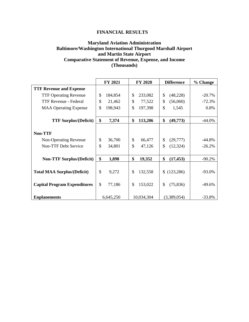#### **FINANCIAL RESULTS**

## **Maryland Aviation Administration Baltimore/Washington International Thurgood Marshall Airport and Martin State Airport Comparative Statement of Revenue, Expense, and Income (Thousands)**

|                                     | <b>FY 2021</b>           | <b>FY 2020</b> | <b>Difference</b> | % Change |
|-------------------------------------|--------------------------|----------------|-------------------|----------|
| <b>TTF Revenue and Expense</b>      |                          |                |                   |          |
| <b>TTF Operating Revenue</b>        | $\mathcal{S}$<br>184,854 | 233,082<br>\$  | \$<br>(48, 228)   | $-20.7%$ |
| TTF Revenue - Federal               | \$<br>21,462             | \$<br>77,522   | \$<br>(56,060)    | $-72.3%$ |
| <b>MAA Operating Expense</b>        | \$<br>198,943            | \$<br>197,398  | \$<br>1,545       | 0.8%     |
|                                     |                          |                |                   |          |
| <b>TTF Surplus/(Deficit)</b>        | \$<br>7,374              | \$<br>113,206  | \$<br>(49,773)    | $-44.0%$ |
|                                     |                          |                |                   |          |
| <b>Non-TTF</b>                      |                          |                |                   |          |
| Non-Operating Revenue               | \$<br>36,700             | \$<br>66,477   | \$<br>(29,777)    | $-44.8%$ |
| <b>Non-TTF Debt Service</b>         | \$<br>34,801             | \$<br>47,126   | \$<br>(12, 324)   | $-26.2%$ |
|                                     |                          |                |                   |          |
| <b>Non-TTF Surplus/(Deficit)</b>    | \$<br>1,898              | \$<br>19,352   | \$<br>(17, 453)   | $-90.2%$ |
|                                     |                          |                |                   |          |
| <b>Total MAA Surplus/(Deficit)</b>  | $\mathcal{S}$<br>9,272   | \$<br>132,558  | \$(123, 286)      | $-93.0%$ |
|                                     |                          |                |                   |          |
| <b>Capital Program Expenditures</b> | \$<br>77,186             | \$<br>153,022  | \$<br>(75, 836)   | $-49.6%$ |
|                                     |                          |                |                   |          |
| <b>Enplanements</b>                 | 6,645,250                | 10,034,304     | (3,389,054)       | $-33.8%$ |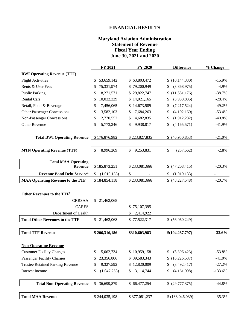## **FINANCIAL RESULTS**

#### **Maryland Aviation Administration Statement of Revenue Fiscal Year Ending June 30, 2021 and 2020**

|                                                                                                 | FY 2021                    | FY 2020                         | <b>Difference</b>    | % Change                 |
|-------------------------------------------------------------------------------------------------|----------------------------|---------------------------------|----------------------|--------------------------|
| <b>BWI Operating Revenue (TTF)</b>                                                              |                            |                                 |                      |                          |
| <b>Flight Activities</b>                                                                        | 53,659,142<br>\$           | \$63,803,472                    | (10,144,330)         | $-15.9%$                 |
| Rents & User Fees                                                                               | 75,331,974<br>\$           | \$79,200,949                    | (3,868,975)<br>\$    | $-4.9%$                  |
| <b>Public Parking</b>                                                                           | 18,271,571<br>\$           | 29,822,747<br>\$                | (11, 551, 176)<br>\$ | $-38.7%$                 |
| <b>Rental Cars</b>                                                                              | 10,032,329<br>\$           | \$14,021,165                    | (3,988,835)<br>\$    | $-28.4%$                 |
| Retail, Food & Beverage                                                                         | 7,456,065<br>\$            | 14,673,589<br>\$                | (7,217,524)<br>S     | $-49.2%$                 |
| <b>Other Passenger Concessions</b>                                                              | 3,582,103<br>\$            | 7,684,263<br>\$                 | (4,102,160)<br>\$    | $-53.4%$                 |
| Non-Passenger Concessions                                                                       | 2,770,552<br>\$            | 4,682,835<br>\$                 | (1,912,282)<br>\$    | $-40.8%$                 |
| Other Revenue                                                                                   | 5,773,246<br>\$            | 9,938,817<br>\$                 | (4,165,571)<br>\$    | $-41.9%$                 |
| <b>Total BWI Operating Revenue</b>                                                              | \$176,876,982              | \$223,827,835                   | \$ (46,950,853)      | $-21.0%$                 |
| <b>MTN Operating Revenue (TTF)</b>                                                              | \$<br>8,996,269            | 9,253,831<br>\$                 | \$<br>(257, 562)     | $-2.8%$                  |
| <b>Total MAA Operating</b>                                                                      |                            |                                 |                      |                          |
| <b>Revenue</b>                                                                                  | \$185,873,251              | \$233,081,666                   | \$ (47,208,415)      | $-20.3%$                 |
| Revenue Bond Debt Service <sup>1</sup>                                                          | \$<br>(1,019,133)          | \$                              | \$<br>(1,019,133)    | $\overline{\phantom{0}}$ |
| <b>MAA Operating Revenue to the TTF</b>                                                         | \$184,854,118              | \$233,081,666                   | \$ (48,227,548)      | $-20.7%$                 |
| Other Revenues to the TTF <sup>2</sup><br><b>CRRSAA</b><br><b>CARES</b><br>Department of Health | 21,462,068<br>$\mathbb{S}$ | \$75,107,395<br>2,414,922<br>\$ |                      |                          |
| <b>Total Other Revenues to the TTF</b>                                                          | \$21,462,068               | \$77,522,317                    | \$ (56,060,249)      |                          |
|                                                                                                 |                            |                                 |                      |                          |
| <b>Total TTF Revenue</b>                                                                        | \$206,316,186              | \$310,603,983                   | \$(104, 287, 797)    | $-33.6%$                 |
| <b>Non-Operating Revenue</b>                                                                    |                            |                                 |                      |                          |
| <b>Customer Facility Charges</b>                                                                | 5,062,734<br>\$            | \$10,959,158                    | (5,896,423)<br>\$    | $-53.8%$                 |
| <b>Passenger Facility Charges</b>                                                               | 23,356,806<br>\$           | \$39,583,343                    | (16, 226, 537)<br>\$ | $-41.0%$                 |
| <b>Trustee Retained Parking Revenue</b>                                                         | 9,327,592<br>\$            | \$12,820,009                    | (3,492,417)<br>\$    | $-27.2%$                 |
| Interest Income                                                                                 | \$<br>(1,047,253)          | \$<br>3,114,744                 | (4,161,998)<br>\$    | $-133.6%$                |
| <b>Total Non-Operating Revenue</b>                                                              | $\mathbb{S}$<br>36,699,879 | \$66,477,254                    | \$ (29,777,375)      | $-44.8%$                 |
| <b>Total MAA Revenue</b>                                                                        | \$244,035,198              | \$377,081,237                   | \$(133,046,039)      | $-35.3%$                 |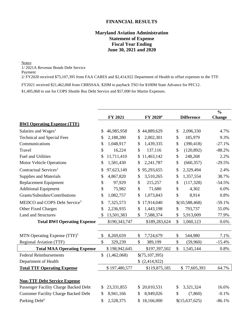#### **FINANCIAL RESULTS**

## **Maryland Aviation Administration Statement of Expense Fiscal Year Ending June 30, 2021 and 2020**

Notes:

1/ 2021A Revenue Bonds Debt Service

Payment

2/ FY2020 received \$75,107,395 from FAA CARES and \$2,414,922 Department of Health to offset expenses to the TTF.

FY2021 received \$21,462,068 from CRRSSAA. \$20M to payback TSO for \$100M State Advance for PFC12.

\$1,405,068 to use for COPS Shuttle Bus Debt Service and \$57,000 for Martin Expenses.

|                                                                     |               | FY 2021       | FY 2020 <sup>4</sup> | <b>Difference</b> | $\frac{0}{0}$<br><b>Change</b> |
|---------------------------------------------------------------------|---------------|---------------|----------------------|-------------------|--------------------------------|
| <b>BWI Operating Expense (TTF)</b>                                  |               |               |                      |                   |                                |
| Salaries and Wages <sup>1</sup>                                     | \$            | 46,985,958    | \$<br>44,889,629     | \$<br>2,096,330   | 4.7%                           |
| <b>Technical and Special Fees</b>                                   | \$            | 2,188,280     | \$<br>2,002,301      | \$<br>185,979     | 9.3%                           |
| Communications                                                      | \$            | 1,048,917     | \$<br>1,439,335      | \$<br>(390, 418)  | $-27.1%$                       |
| Travel                                                              | \$            | 16,224        | \$<br>137,116        | \$<br>(120, 892)  | $-88.2%$                       |
| <b>Fuel and Utilities</b>                                           | \$            | 11,711,410    | \$<br>11,463,142     | \$<br>248,268     | 2.2%                           |
| <b>Motor Vehicle Operations</b>                                     | \$            | 1,581,430     | \$<br>2,241,787      | \$<br>(660, 357)  | $-29.5%$                       |
| Contractual Services <sup>2</sup>                                   | \$            | 97,623,149    | \$<br>95,293,655     | \$<br>2,329,494   | 2.4%                           |
| <b>Supplies and Materials</b>                                       | \$            | 4,867,820     | \$<br>3,510,265      | \$<br>1,357,554   | 38.7%                          |
| Replacement Equipment                                               | \$            | 97,929        | \$<br>215,257        | \$<br>(117, 328)  | $-54.5%$                       |
| <b>Additional Equipment</b>                                         | \$            | 75,982        | \$<br>71,680         | \$<br>4,302       | 6.0%                           |
| Grants/Subsidies/Contributions                                      | \$            | 1,082,757     | \$<br>1,073,843      | \$<br>8,914       | 0.8%                           |
| MEDCO and COPS Debt Service <sup>3</sup>                            | \$            | 7,325,573     | \$<br>17,914,040     | \$(10,588,468)    | $-59.1%$                       |
| <b>Other Fixed Charges</b>                                          | \$            | 2,236,935     | \$<br>1,443,198      | \$<br>793,737     | 55.0%                          |
| <b>Land and Structures</b>                                          | \$            | 13,501,383    | \$<br>7,588,374      | \$<br>5,913,009   | 77.9%                          |
| <b>Total BWI Operating Expense</b>                                  |               | \$190,343,747 | \$189,283,624        | \$<br>1,060,123   | 0.6%                           |
| MTN Operating Expense $(TTF)^5$                                     | \$            | 8,269,659     | \$<br>7,724,679      | \$<br>544,980     | 7.1%                           |
| Regional Aviation (TTF)                                             | $\mathsf{\$}$ | 329,239       | \$<br>389,199        | \$<br>(59,960)    | $-15.4%$                       |
|                                                                     |               | \$198,942,645 |                      | \$                | 0.8%                           |
| <b>Total MAA Operating Expense</b><br><b>Federal Reimbursements</b> | \$            |               | \$197,397,502        | 1,545,144         |                                |
|                                                                     |               | (1,462,068)   | \$(75,107,395)       |                   |                                |
| Department of Health                                                |               |               | \$(2,414,922)        |                   |                                |
| <b>Total TTF Operating Expense</b>                                  |               | \$197,480,577 | \$119,875,185        | \$77,605,393      | 64.7%                          |
| <b>Non-TTF Debt Service Expense</b>                                 |               |               |                      |                   |                                |
| Passenger Facility Charge Backed Debt                               | S             | 23,331,855    | \$<br>20,010,531     | \$<br>3,321,324   | 16.6%                          |
| <b>Customer Facility Charge Backed Debt</b>                         | \$            | 8,941,166     | \$<br>8,949,026      | \$<br>(7, 860)    | $-0.1%$                        |
| Parking Debt <sup>6</sup>                                           | \$            | 2,528,375     | \$<br>18,166,000     | \$(15,637,625)    | $-86.1%$                       |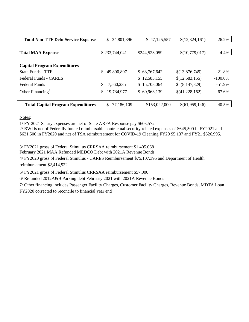| <b>Total Non-TTF Debt Service Expense</b> | 34,801,396<br>\$ | \$47,125,557  | \$(12,324,161) | $-26.2%$   |
|-------------------------------------------|------------------|---------------|----------------|------------|
|                                           |                  |               |                |            |
| <b>Total MAA Expense</b>                  | \$233,744,041    | \$244,523,059 | \$(10,779,017) | $-4.4%$    |
|                                           |                  |               |                |            |
| <b>Capital Program Expenditures</b>       |                  |               |                |            |
| State Funds - TTF                         | 49,890,897<br>\$ | \$63,767,642  | \$(13,876,745) | $-21.8%$   |
| Federal Funds - CARES                     |                  | \$12,583,155  | \$(12,583,155) | $-100.0\%$ |
| <b>Federal Funds</b>                      | \$<br>7,560,235  | \$15,708,064  | \$ (8,147,829) | $-51.9%$   |
| Other Financing <sup>7</sup>              | 19,734,977<br>\$ | \$60,963,139  | \$(41,228,162) | $-67.6%$   |
|                                           |                  |               |                |            |
| <b>Total Capital Program Expenditures</b> | 77,186,109<br>S. | \$153,022,000 | \$(61,959,146) | $-40.5%$   |

Notes:

1/ FY 2021 Salary expenses are net of State ARPA Response pay \$603,572

2/ BWI is net of Federally funded reimbursable contractual security related expenses of \$645,500 in FY2021 and \$621,500 in FY2020 and net of TSA reimbursement for COVID-19 Cleaning FY20 \$5,137 and FY21 \$626,995.

3/ FY2021 gross of Federal Stimulus CRRSAA reimbursement \$1,405,068

February 2021 MAA Refunded MEDCO Debt with 2021A Revenue Bonds

4/ FY2020 gross of Federal Stimulus - CARES Reimbursement \$75,107,395 and Department of Health reimbursement \$2,414,922

5/ FY2021 gross of Federal Stimulus CRRSAA reimbursement \$57,000

6/ Refunded 2012A&B Parking debt February 2021 with 2021A Revenue Bonds

7/ Other financing includes Passenger Facility Charges, Customer Facility Charges, Revenue Bonds, MDTA Loan FY2020 corrected to reconcile to financial year end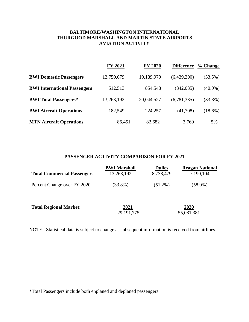## **BALTIMORE/WASHINGTON INTERNATIONAL THURGOOD MARSHALL AND MARTIN STATE AIRPORTS AVIATION ACTIVITY**

|                                     | FY 2021    | <b>FY 2020</b> | <b>Difference</b> | % Change   |
|-------------------------------------|------------|----------------|-------------------|------------|
| <b>BWI Domestic Passengers</b>      | 12,750,679 | 19,189,979     | (6,439,300)       | $(33.5\%)$ |
| <b>BWI International Passengers</b> | 512,513    | 854,548        | (342, 035)        | $(40.0\%)$ |
| <b>BWI Total Passengers*</b>        | 13,263,192 | 20,044,527     | (6,781,335)       | $(33.8\%)$ |
| <b>BWI Aircraft Operations</b>      | 182,549    | 224,257        | (41,708)          | $(18.6\%)$ |
| <b>MTN Aircraft Operations</b>      | 86,451     | 82,682         | 3,769             | 5%         |

## **PASSENGER ACTIVITY COMPARISON FOR FY 2021**

| <b>Total Commercial Passengers</b> | <b>BWI Marshall</b><br>13,263,192 | <b>Dulles</b><br>8,738,479 | <b>Reagan National</b><br>7,190,104 |
|------------------------------------|-----------------------------------|----------------------------|-------------------------------------|
| Percent Change over FY 2020        | $(33.8\%)$                        | $(51.2\%)$                 | $(58.0\%)$                          |
| <b>Total Regional Market:</b>      | 2021<br>29, 191, 775              |                            | 2020<br>55,081,381                  |

NOTE: Statistical data is subject to change as subsequent information is received from airlines.

<sup>\*</sup>Total Passengers include both enplaned and deplaned passengers.